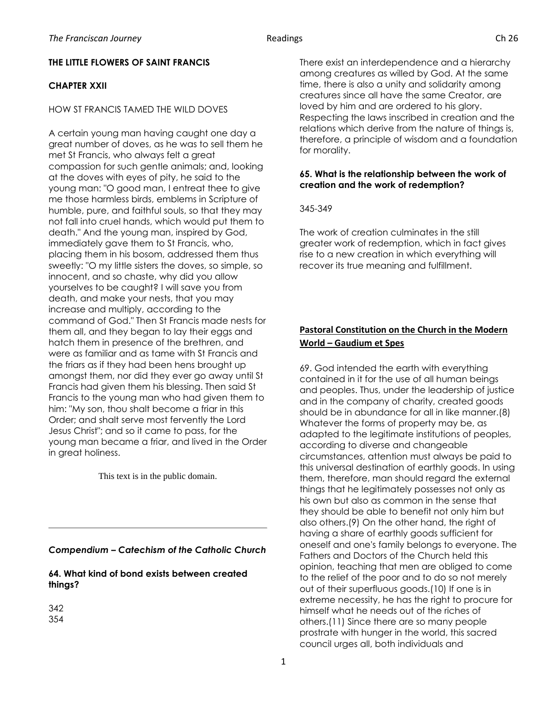# **THE LITTLE FLOWERS OF SAINT FRANCIS**

## **CHAPTER XXII**

### HOW ST FRANCIS TAMED THE WILD DOVES

A certain young man having caught one day a great number of doves, as he was to sell them he met St Francis, who always felt a great compassion for such gentle animals; and, looking at the doves with eyes of pity, he said to the young man: "O good man, I entreat thee to give me those harmless birds, emblems in Scripture of humble, pure, and faithful souls, so that they may not fall into cruel hands, which would put them to death." And the young man, inspired by God, immediately gave them to St Francis, who, placing them in his bosom, addressed them thus sweetly: "O my little sisters the doves, so simple, so innocent, and so chaste, why did you allow yourselves to be caught? I will save you from death, and make your nests, that you may increase and multiply, according to the command of God." Then St Francis made nests for them all, and they began to lay their eggs and hatch them in presence of the brethren, and were as familiar and as tame with St Francis and the friars as if they had been hens brought up amongst them, nor did they ever go away until St Francis had given them his blessing. Then said St Francis to the young man who had given them to him: "My son, thou shalt become a friar in this Order; and shalt serve most fervently the Lord Jesus Christ"; and so it came to pass, for the young man became a friar, and lived in the Order in great holiness.

This text is in the public domain.

*Compendium – Catechism of the Catholic Church*

**64. What kind of bond exists between created things?**

342 354 There exist an interdependence and a hierarchy among creatures as willed by God. At the same time, there is also a unity and solidarity among creatures since all have the same Creator, are loved by him and are ordered to his glory. Respecting the laws inscribed in creation and the relations which derive from the nature of things is, therefore, a principle of wisdom and a foundation for morality.

### **65. What is the relationship between the work of creation and the work of redemption?**

345-349

The work of creation culminates in the still greater work of redemption, which in fact gives rise to a new creation in which everything will recover its true meaning and fulfillment.

# **Pastoral Constitution on the Church in the Modern World – Gaudium et Spes**

69. God intended the earth with everything contained in it for the use of all human beings and peoples. Thus, under the leadership of justice and in the company of charity, created goods should be in abundance for all in like manner.(8) Whatever the forms of property may be, as adapted to the legitimate institutions of peoples, according to diverse and changeable circumstances, attention must always be paid to this universal destination of earthly goods. In using them, therefore, man should regard the external things that he legitimately possesses not only as his own but also as common in the sense that they should be able to benefit not only him but also others.(9) On the other hand, the right of having a share of earthly goods sufficient for oneself and one's family belongs to everyone. The Fathers and Doctors of the Church held this opinion, teaching that men are obliged to come to the relief of the poor and to do so not merely out of their superfluous goods.(10) If one is in extreme necessity, he has the right to procure for himself what he needs out of the riches of others.(11) Since there are so many people prostrate with hunger in the world, this sacred council urges all, both individuals and